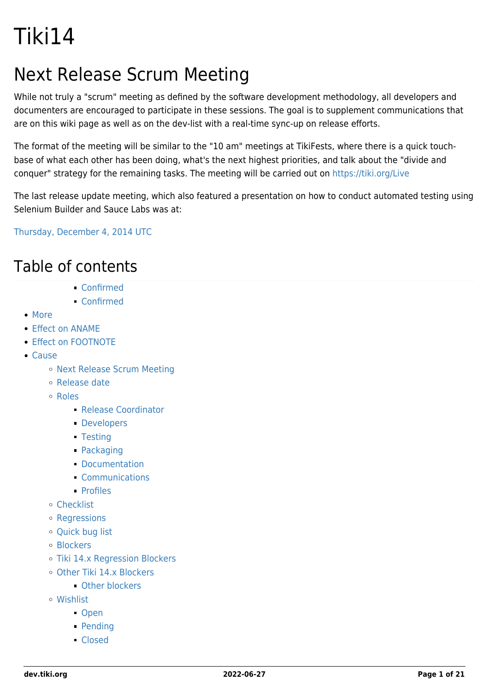# Tiki14

## Next Release Scrum Meeting

While not truly a "scrum" meeting as defined by the software development methodology, all developers and documenters are encouraged to participate in these sessions. The goal is to supplement communications that are on this wiki page as well as on the dev-list with a real-time sync-up on release efforts.

The format of the meeting will be similar to the "10 am" meetings at TikiFests, where there is a quick touchbase of what each other has been doing, what's the next highest priorities, and talk about the "divide and conquer" strategy for the remaining tasks. The meeting will be carried out on <https://tiki.org/Live>

The last release update meeting, which also featured a presentation on how to conduct automated testing using Selenium Builder and Sauce Labs was at:

[Thursday, December 4, 2014 UTC](http://www.timeanddate.com/worldclock/fixedtime.html?msg=Tiki+14+Release+Update+and+Automated+Testing+Presentation&iso=20141204T20&p1=1440&ah=1)

### Table of contents

- [Confirmed](#page--1-0)
- [Confirmed](#page--1-0)
- [More](#page--1-0)
- [Effect on ANAME](#page--1-0)
- **[Effect on FOOTNOTE](#page--1-0)**
- [Cause](#page--1-0)
	- o [Next Release Scrum Meeting](#page--1-0)
	- [Release date](#page--1-0)
	- [Roles](#page--1-0)
		- [Release Coordinator](#page--1-0)
		- **[Developers](#page--1-0)**
		- [Testing](#page--1-0)
		- [Packaging](#page--1-0)
		- [Documentation](#page--1-0)
		- [Communications](#page--1-0)
		- [Profiles](#page--1-0)
	- [Checklist](#page--1-0)
	- [Regressions](#page--1-0)
	- [Quick bug list](#page--1-0)
	- [Blockers](#page--1-0)
	- [Tiki 14.x Regression Blockers](#Tiki_14.x_Regression_Blockers)
	- o Other Tiki 14 x Blockers
		- **Charas** Department
	- [Wishlist](#page--1-0)
		- [Open](#page--1-0)
		- [Pending](#page--1-0)
		- [Closed](#page--1-0)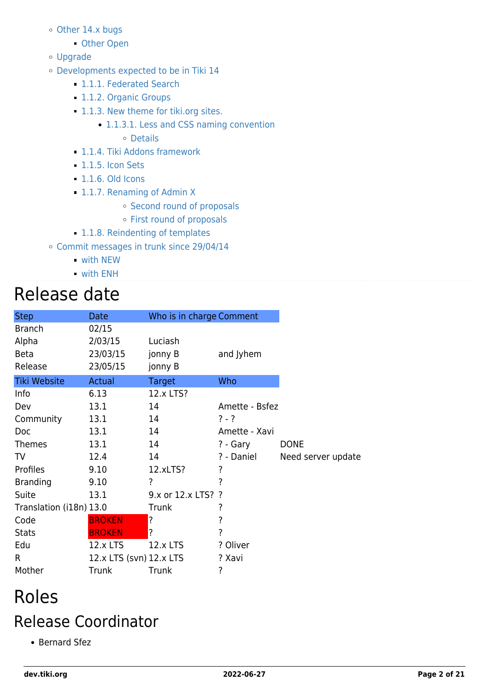- [Other 14.x bugs](#Other_14.x_bugs)
	- [Other Open](#page--1-0)
- [Upgrade](#page--1-0)
- [Developments expected to be in Tiki 14](#page--1-0)
	- [1.1.1. Federated Search](#page--1-0)
	- **[1.1.2. Organic Groups](#page--1-0)**
	- [1.1.3. New theme for tiki.org sites.](#New_theme_for_tiki.org_sites.)
		- [1.1.3.1. Less and CSS naming convention](#page--1-0) [Details](#page--1-0)
	- [1.1.4. Tiki Addons framework](#page--1-0)
	- [1.1.5. Icon Sets](#page--1-0)
	- [1.1.6. Old Icons](#page--1-0)
	- [1.1.7. Renaming of Admin X](#page--1-0)
		- o [Second round of proposals](#page--1-0)
		- [First round of proposals](#page--1-0)
	- [1.1.8. Reindenting of templates](#page--1-0)
- [Commit messages in trunk since 29/04/14](#page--1-0)
	- [with](#page--1-0) [NEW](https://dev.tiki.org/NEW)
	- [with](#page--1-0) [ENH](https://dev.tiki.org/ENH)

## Release date

| <b>Step</b>                                      | Date                                     | Who is in charge Comment      |                |                    |
|--------------------------------------------------|------------------------------------------|-------------------------------|----------------|--------------------|
| <b>Branch</b><br>Alpha<br><b>Beta</b><br>Release | 02/15<br>2/03/15<br>23/03/15<br>23/05/15 | Luciash<br>jonny B<br>jonny B | and Jyhem      |                    |
| <b>Tiki Website</b>                              | Actual                                   | Target                        | Who            |                    |
| Info                                             | 6.13                                     | 12.x LTS?                     |                |                    |
| Dev                                              | 13.1                                     | 14                            | Amette - Bsfez |                    |
| Community                                        | 13.1                                     | 14                            | $? - ?$        |                    |
| Doc                                              | 13.1                                     | 14                            | Amette - Xavi  |                    |
| <b>Themes</b>                                    | 13.1                                     | 14                            | ? - Gary       | <b>DONE</b>        |
| TV                                               | 12.4                                     | 14                            | ? - Daniel     | Need server update |
| Profiles                                         | 9.10                                     | 12.xLTS?                      | ?              |                    |
| <b>Branding</b>                                  | 9.10                                     | ?                             | ?              |                    |
| Suite                                            | 13.1                                     | 9.x or 12.x LTS? ?            |                |                    |
| Translation (i18n) 13.0                          |                                          | <b>Trunk</b>                  | ?              |                    |
| Code                                             | <b>BROKEN</b>                            | ?                             | ?              |                    |
| <b>Stats</b>                                     | <b>BROKEN</b>                            | ?                             | ?              |                    |
| Edu                                              | 12.x LTS                                 | 12.x LTS                      | ? Oliver       |                    |
| $\mathsf{R}$                                     | 12.x LTS (svn) 12.x LTS                  |                               | ? Xavi         |                    |
| Mother                                           | Trunk                                    | Trunk                         | ?              |                    |

## Roles

## Release Coordinator

• Bernard Sfez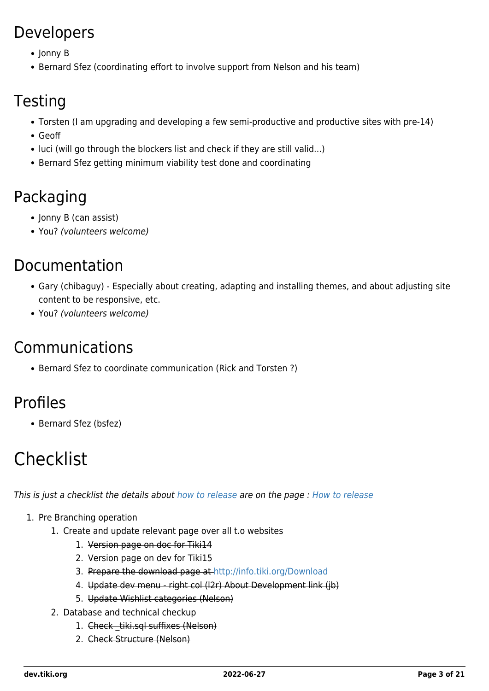### Developers

- Jonny B
- Bernard Sfez (coordinating effort to involve support from Nelson and his team)

### **Testing**

- Torsten (I am upgrading and developing a few semi-productive and productive sites with pre-14)
- Geoff
- luci (will go through the blockers list and check if they are still valid...)
- Bernard Sfez getting minimum viability test done and coordinating

### Packaging

- Jonny B (can assist)
- You? (volunteers welcome)

### Documentation

- Gary (chibaguy) Especially about creating, adapting and installing themes, and about adjusting site content to be responsive, etc.
- You? (volunteers welcome)

### Communications

• Bernard Sfez to coordinate communication (Rick and Torsten?)

### Profiles

• Bernard Sfez (bsfez)

# **Checklist**

This is just a checklist the details about [how to release](https://dev.tiki.org/How-to-release) are on the page : [How to release](https://dev.tiki.org/How-to-release)

- 1. Pre Branching operation
	- 1. Create and update relevant page over all t.o websites
		- 1. Version page on doc for Tiki14
		- 2. Version page on dev for Tiki15
		- 3. Prepare the download page at<http://info.tiki.org/Download>
		- 4. Update dev menu right col (l2r) About Development link (jb)
		- 5. Update Wishlist categories (Nelson)
	- 2. Database and technical checkup
		- 1. Check tiki.sql suffixes (Nelson)
		- 2. Check Structure (Nelson)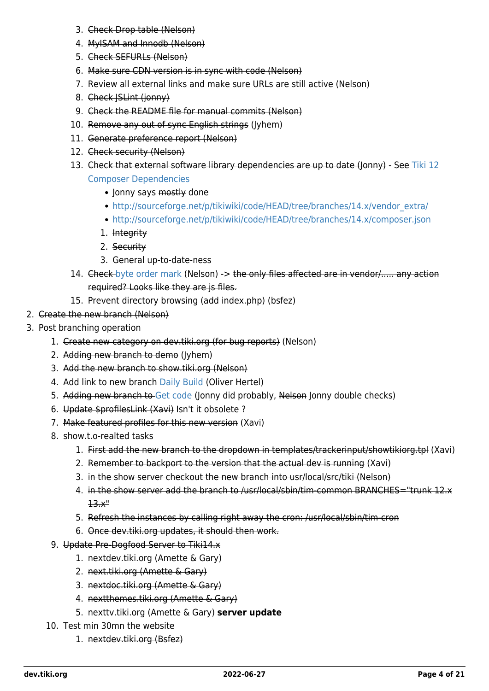- 3. Check Drop table (Nelson)
- 4. MyISAM and Innodb (Nelson)
- 5. Check SEFURLs (Nelson)
- 6. Make sure CDN version is in sync with code (Nelson)
- 7. Review all external links and make sure URLs are still active (Nelson)
- 8. Check JSLint (jonny)
- 9. Check the README file for manual commits (Nelson)
- 10. Remove any out of sync English strings (Jyhem)
- 11. Generate preference report (Nelson)
- 12. Check security (Nelson)
- 13. Check that external software library dependencies are up to date (Jonny) See [Tiki 12](https://dev.tiki.org/Tiki-12-Composer-Dependencies) [Composer Dependencies](https://dev.tiki.org/Tiki-12-Composer-Dependencies)
	- Jonny says mostly done
	- [http://sourceforge.net/p/tikiwiki/code/HEAD/tree/branches/14.x/vendor\\_extra/](http://sourceforge.net/p/tikiwiki/code/HEAD/tree/branches/14.x/vendor_extra/)
	- <http://sourceforge.net/p/tikiwiki/code/HEAD/tree/branches/14.x/composer.json>
	- 1. Integrity
	- 2. Security
	- 3. General up-to-date-ness
- 14. Check-[byte order mark](https://dev.tiki.org/byte-order-mark) (Nelson) -> the only files affected are in vendor/..... any action required? Looks like they are js files.
- 15. Prevent directory browsing (add index.php) (bsfez)
- 2. Create the new branch (Nelson)
- 3. Post branching operation
	- 1. Create new category on dev.tiki.org (for bug reports) (Nelson)
	- 2. Adding new branch to demo (Jyhem)
	- 3. Add the new branch to show.tiki.org (Nelson)
	- 4. Add link to new branch [Daily Build](https://dev.tiki.org/Daily-Build) (Oliver Hertel)
	- 5. Adding new branch to [Get code](https://dev.tiki.org/Get-code) (Jonny did probably, Nelson Jonny double checks)
	- 6. Update \$profilesLink (Xavi) Isn't it obsolete ?
	- 7. Make featured profiles for this new version (Xavi)
	- 8. show.t.o-realted tasks
		- 1. First add the new branch to the dropdown in templates/trackerinput/showtikiorg.tpl (Xavi)
		- 2. Remember to backport to the version that the actual dev is running (Xavi)
		- 3. in the show server checkout the new branch into usr/local/src/tiki (Nelson)
		- 4. in the show server add the branch to /usr/local/sbin/tim-common BRANCHES="trunk 12.x 13.x"
		- 5. Refresh the instances by calling right away the cron: /usr/local/sbin/tim-cron
		- 6. Once dev.tiki.org updates, it should then work.
	- 9. Update Pre-Dogfood Server to Tiki14.x
		- 1. nextdev.tiki.org (Amette & Gary)
		- 2. next.tiki.org (Amette & Gary)
		- 3. nextdoc.tiki.org (Amette & Gary)
		- 4. nextthemes.tiki.org (Amette & Gary)
		- 5. nexttv.tiki.org (Amette & Gary) **server update**
	- 10. Test min 30mn the website
		- 1. nextdev.tiki.org (Bsfez)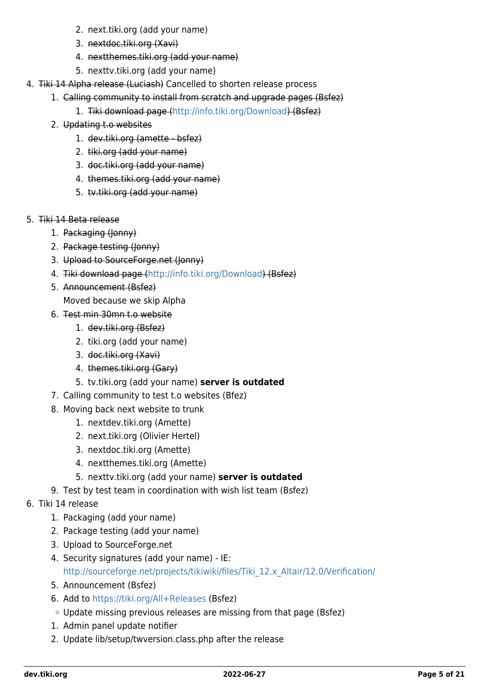- 2. next.tiki.org (add your name)
- 3. nextdoc.tiki.org (Xavi)
- 4. nextthemes.tiki.org (add your name)
- 5. nexttv.tiki.org (add your name)
- 4. Tiki 14 Alpha release (Luciash) Cancelled to shorten release process
	- 1. Calling community to install from scratch and upgrade pages (Bsfez)
		- 1. Tiki download page [\(http://info.tiki.org/Download](http://info.tiki.org/Download)) (Bsfez)
		- 2. Updating t.o websites
			- 1. dev.tiki.org (amette bsfez)
			- 2. tiki.org (add your name)
			- 3. doc.tiki.org (add your name)
			- 4. themes.tiki.org (add your name)
			- 5. tv.tiki.org (add your name)
- 5. Tiki 14 Beta release
	- 1. Packaging (Jonny)
	- 2. Package testing (Jonny)
	- 3. Upload to SourceForge.net (Jonny)
	- 4. Tiki download page [\(http://info.tiki.org/Download](http://info.tiki.org/Download)) (Bsfez)
	- 5. Announcement (Bsfez)
		- Moved because we skip Alpha
	- 6. Test min 30mn t.o website
		- 1. dev.tiki.org (Bsfez)
		- 2. tiki.org (add your name)
		- 3. doc.tiki.org (Xavi)
		- 4. themes.tiki.org (Gary)
		- 5. tv.tiki.org (add your name) **server is outdated**
	- 7. Calling community to test t.o websites (Bfez)
	- 8. Moving back next website to trunk
		- 1. nextdev.tiki.org (Amette)
		- 2. next.tiki.org (Olivier Hertel)
		- 3. nextdoc.tiki.org (Amette)
		- 4. nextthemes.tiki.org (Amette)
		- 5. nexttv.tiki.org (add your name) **server is outdated**
	- 9. Test by test team in coordination with wish list team (Bsfez)
- 6. Tiki 14 release
	- 1. Packaging (add your name)
	- 2. Package testing (add your name)
	- 3. Upload to SourceForge.net
	- 4. Security signatures (add your name) IE: [http://sourceforge.net/projects/tikiwiki/files/Tiki\\_12.x\\_Altair/12.0/Verification/](http://sourceforge.net/projects/tikiwiki/files/Tiki_12.x_Altair/12.0/Verification/)
	- 5. Announcement (Bsfez)
	- 6. Add to <https://tiki.org/All+Releases>(Bsfez)
	- Update missing previous releases are missing from that page (Bsfez)
	- 1. Admin panel update notifier
	- 2. Update lib/setup/twversion.class.php after the release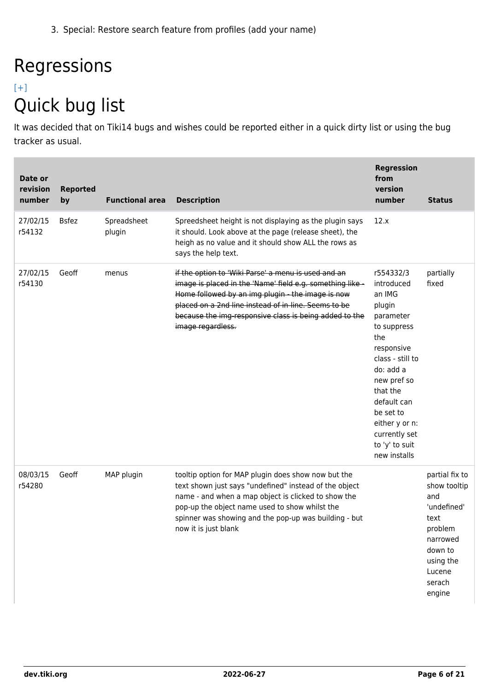3. Special: Restore search feature from profiles (add your name)

# Regressions

### [\[+\]](#page--1-0) Quick bug list

It was decided that on Tiki14 bugs and wishes could be reported either in a quick dirty list or using the bug tracker as usual.

| Date or<br>revision<br>number | <b>Reported</b><br>by | <b>Functional area</b> | <b>Description</b>                                                                                                                                                                                                                                                                                           | <b>Regression</b><br>from<br>version<br>number                                                                                                                                                                                                            | <b>Status</b>                                                                                                                             |
|-------------------------------|-----------------------|------------------------|--------------------------------------------------------------------------------------------------------------------------------------------------------------------------------------------------------------------------------------------------------------------------------------------------------------|-----------------------------------------------------------------------------------------------------------------------------------------------------------------------------------------------------------------------------------------------------------|-------------------------------------------------------------------------------------------------------------------------------------------|
| 27/02/15<br>r54132            | <b>Bsfez</b>          | Spreadsheet<br>plugin  | Spreedsheet height is not displaying as the plugin says<br>it should. Look above at the page (release sheet), the<br>heigh as no value and it should show ALL the rows as<br>says the help text.                                                                                                             | 12.x                                                                                                                                                                                                                                                      |                                                                                                                                           |
| 27/02/15<br>r54130            | Geoff                 | menus                  | if the option to 'Wiki Parse' a menu is used and an<br>image is placed in the 'Name' field e.g. something like -<br>Home followed by an img plugin - the image is now<br>placed on a 2nd line instead of in-line. Seems to be<br>because the img-responsive class is being added to the<br>image regardless. | r554332/3<br>introduced<br>an IMG<br>plugin<br>parameter<br>to suppress<br>the<br>responsive<br>class - still to<br>do: add a<br>new pref so<br>that the<br>default can<br>be set to<br>either y or n:<br>currently set<br>to 'y' to suit<br>new installs | partially<br>fixed                                                                                                                        |
| 08/03/15<br>r54280            | Geoff                 | MAP plugin             | tooltip option for MAP plugin does show now but the<br>text shown just says "undefined" instead of the object<br>name - and when a map object is clicked to show the<br>pop-up the object name used to show whilst the<br>spinner was showing and the pop-up was building - but<br>now it is just blank      |                                                                                                                                                                                                                                                           | partial fix to<br>show tooltip<br>and<br>'undefined'<br>text<br>problem<br>narrowed<br>down to<br>using the<br>Lucene<br>serach<br>engine |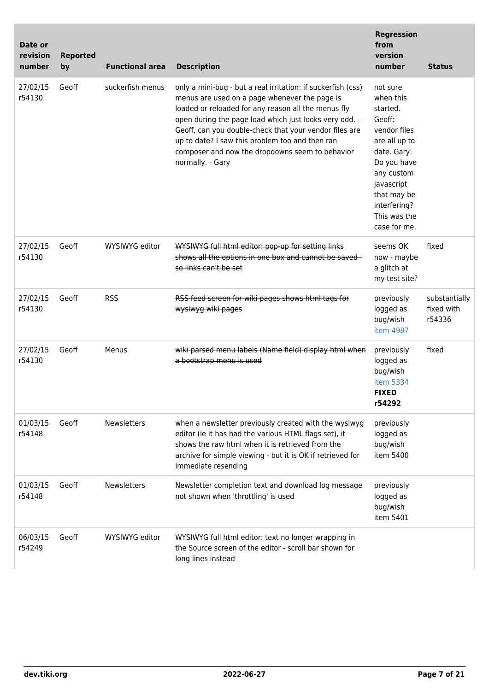| Date or<br>revision<br>number | <b>Reported</b><br>by | <b>Functional area</b> | <b>Description</b>                                                                                                                                                                                                                                                                                                                                                                                                 | <b>Regression</b><br>from<br>version<br>number                                                                                                                                                        | <b>Status</b>                         |
|-------------------------------|-----------------------|------------------------|--------------------------------------------------------------------------------------------------------------------------------------------------------------------------------------------------------------------------------------------------------------------------------------------------------------------------------------------------------------------------------------------------------------------|-------------------------------------------------------------------------------------------------------------------------------------------------------------------------------------------------------|---------------------------------------|
| 27/02/15<br>r54130            | Geoff                 | suckerfish menus       | only a mini-bug - but a real irritation: if suckerfish (css)<br>menus are used on a page whenever the page is<br>loaded or reloaded for any reason all the menus fly<br>open during the page load which just looks very odd. -<br>Geoff, can you double-check that your vendor files are<br>up to date? I saw this problem too and then ran<br>composer and now the dropdowns seem to behavior<br>normally. - Gary | not sure<br>when this<br>started.<br>Geoff:<br>vendor files<br>are all up to<br>date. Gary:<br>Do you have<br>any custom<br>javascript<br>that may be<br>interfering?<br>This was the<br>case for me. |                                       |
| 27/02/15<br>r54130            | Geoff                 | WYSIWYG editor         | WYSIWYG full html editor: pop-up for setting links<br>shows all the options in one box and cannot be saved-<br>so links can't be set                                                                                                                                                                                                                                                                               | seems OK<br>now - maybe<br>a glitch at<br>my test site?                                                                                                                                               | fixed                                 |
| 27/02/15<br>r54130            | Geoff                 | <b>RSS</b>             | RSS feed screen for wiki pages shows html tags for<br>wysiwyg wiki pages                                                                                                                                                                                                                                                                                                                                           | previously<br>logged as<br>bug/wish<br>item 4987                                                                                                                                                      | substantially<br>fixed with<br>r54336 |
| 27/02/15<br>r54130            | Geoff                 | Menus                  | wiki parsed menu labels (Name field) display html when<br>a bootstrap menu is used                                                                                                                                                                                                                                                                                                                                 | previously<br>logged as<br>bug/wish<br>item 5334<br><b>FIXED</b><br>r54292                                                                                                                            | fixed                                 |
| 01/03/15<br>r54148            | Geoff                 | Newsletters            | when a newsletter previously created with the wysiwyg<br>editor (ie it has had the various HTML flags set), it<br>shows the raw html when it is retrieved from the<br>archive for simple viewing - but it is OK if retrieved for<br>immediate resending                                                                                                                                                            | previously<br>logged as<br>bug/wish<br>item 5400                                                                                                                                                      |                                       |
| 01/03/15<br>r54148            | Geoff                 | <b>Newsletters</b>     | Newsletter completion text and download log message<br>not shown when 'throttling' is used                                                                                                                                                                                                                                                                                                                         | previously<br>logged as<br>bug/wish<br>item 5401                                                                                                                                                      |                                       |
| 06/03/15<br>r54249            | Geoff                 | WYSIWYG editor         | WYSIWYG full html editor: text no longer wrapping in<br>the Source screen of the editor - scroll bar shown for<br>long lines instead                                                                                                                                                                                                                                                                               |                                                                                                                                                                                                       |                                       |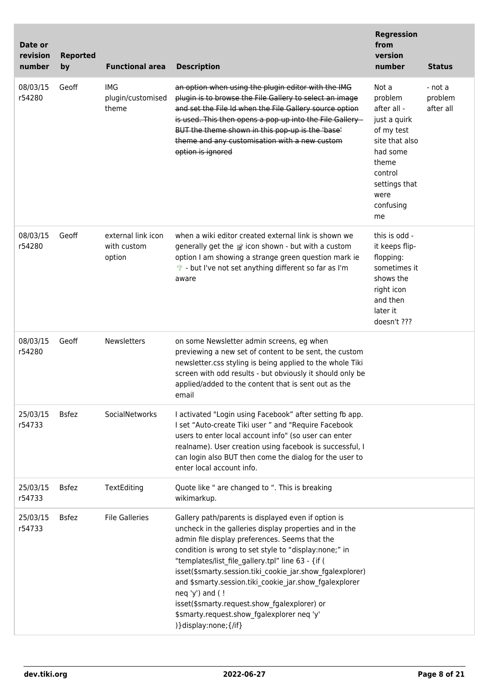| Date or<br>revision<br>number | <b>Reported</b><br>by | <b>Functional area</b>                      | <b>Description</b>                                                                                                                                                                                                                                                                                                                                                                                                                                                                                                                                | <b>Regression</b><br>from<br>version<br>number                                                                                                              | <b>Status</b>                   |
|-------------------------------|-----------------------|---------------------------------------------|---------------------------------------------------------------------------------------------------------------------------------------------------------------------------------------------------------------------------------------------------------------------------------------------------------------------------------------------------------------------------------------------------------------------------------------------------------------------------------------------------------------------------------------------------|-------------------------------------------------------------------------------------------------------------------------------------------------------------|---------------------------------|
| 08/03/15<br>r54280            | Geoff                 | IMG<br>plugin/customised<br>theme           | an option when using the plugin editor with the IMG<br>plugin is to browse the File Gallery to select an image<br>and set the File Id when the File Gallery source option<br>is used. This then opens a pop-up into the File Gallery -<br>BUT the theme shown in this pop-up is the 'base'<br>theme and any customisation with a new custom<br>option is ignored                                                                                                                                                                                  | Not a<br>problem<br>after all -<br>just a quirk<br>of my test<br>site that also<br>had some<br>theme<br>control<br>settings that<br>were<br>confusing<br>me | - not a<br>problem<br>after all |
| 08/03/15<br>r54280            | Geoff                 | external link icon<br>with custom<br>option | when a wiki editor created external link is shown we<br>generally get the F icon shown - but with a custom<br>option I am showing a strange green question mark ie<br>• but I've not set anything different so far as I'm<br>aware                                                                                                                                                                                                                                                                                                                | this is odd -<br>it keeps flip-<br>flopping:<br>sometimes it<br>shows the<br>right icon<br>and then<br>later it<br>doesn't ???                              |                                 |
| 08/03/15<br>r54280            | Geoff                 | <b>Newsletters</b>                          | on some Newsletter admin screens, eg when<br>previewing a new set of content to be sent, the custom<br>newsletter.css styling is being applied to the whole Tiki<br>screen with odd results - but obviously it should only be<br>applied/added to the content that is sent out as the<br>email                                                                                                                                                                                                                                                    |                                                                                                                                                             |                                 |
| 25/03/15<br>r54733            | <b>Bsfez</b>          | SocialNetworks                              | I activated "Login using Facebook" after setting fb app.<br>I set "Auto-create Tiki user " and "Require Facebook<br>users to enter local account info" (so user can enter<br>realname). User creation using facebook is successful, I<br>can login also BUT then come the dialog for the user to<br>enter local account info.                                                                                                                                                                                                                     |                                                                                                                                                             |                                 |
| 25/03/15<br>r54733            | <b>Bsfez</b>          | TextEditing                                 | Quote like " are changed to ". This is breaking<br>wikimarkup.                                                                                                                                                                                                                                                                                                                                                                                                                                                                                    |                                                                                                                                                             |                                 |
| 25/03/15<br>r54733            | <b>Bsfez</b>          | <b>File Galleries</b>                       | Gallery path/parents is displayed even if option is<br>uncheck in the galleries display properties and in the<br>admin file display preferences. Seems that the<br>condition is wrong to set style to "display:none;" in<br>"templates/list_file_gallery.tpl" line 63 - {if (<br>isset(\$smarty.session.tiki_cookie_jar.show_fgalexplorer)<br>and \$smarty.session.tiki_cookie_jar.show_fgalexplorer<br>neq 'y') and (!<br>isset(\$smarty.request.show_fgalexplorer) or<br>\$smarty.request.show fgalexplorer neq 'y'<br>) } display: none; {/if} |                                                                                                                                                             |                                 |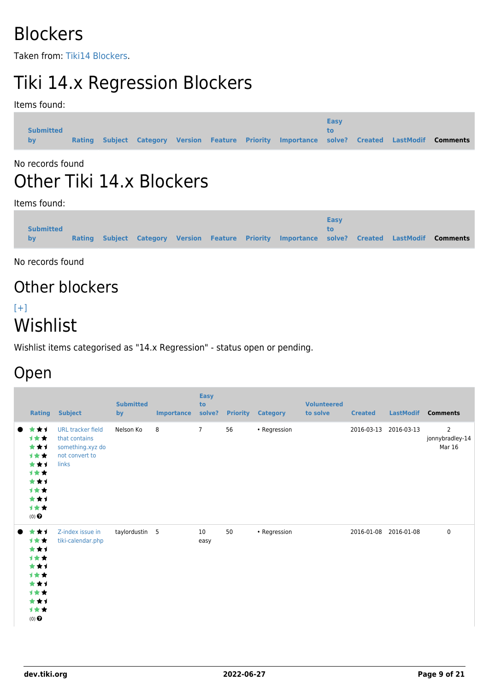# **Blockers**

Taken from: [Tiki14 Blockers](https://dev.tiki.org/Tiki14-Blockers).

# Tiki 14.x Regression Blockers

Items found:

| <b>Submitted</b><br><b>by</b> | <b>Rating</b> |  |  |  |  |  | Subject Category Version Feature Priority Importance solve? Created LastModif Comments | Easy<br>tΩ. |  |  |  |
|-------------------------------|---------------|--|--|--|--|--|----------------------------------------------------------------------------------------|-------------|--|--|--|
|-------------------------------|---------------|--|--|--|--|--|----------------------------------------------------------------------------------------|-------------|--|--|--|

#### No records found

# Other Tiki 14.x Blockers

Items found:

|                  |               |  |  |                                                                                        | <b>Easy</b> |  |  |
|------------------|---------------|--|--|----------------------------------------------------------------------------------------|-------------|--|--|
| <b>Submitted</b> | <b>Rating</b> |  |  | Subject Category Version Feature Priority Importance solve? Created LastModif Comments | tΩ          |  |  |
| by               |               |  |  |                                                                                        |             |  |  |

No records found

# Other blockers

### $[+]$ Wishlist

Wishlist items categorised as "14.x Regression" - status open or pending.

## Open

|                | <b>Rating</b>                                                                              | <b>Subject</b>                                                                           | <b>Submitted</b><br>by | <b>Importance</b> | <b>Easy</b><br>to<br>solve? |    | <b>Priority Category</b> | <b>Volunteered</b><br>to solve | <b>Created</b> | <b>LastModif</b> | <b>Comments</b>                             |
|----------------|--------------------------------------------------------------------------------------------|------------------------------------------------------------------------------------------|------------------------|-------------------|-----------------------------|----|--------------------------|--------------------------------|----------------|------------------|---------------------------------------------|
|                | ***<br>***<br>***<br><b>1**</b><br>***<br>计女女<br>***<br>计女女<br>***<br>计女女<br>$(0)$ $\odot$ | <b>URL tracker field</b><br>that contains<br>something.xyz do<br>not convert to<br>links | Nelson Ko              | 8                 | $\overline{7}$              | 56 | • Regression             |                                | 2016-03-13     | 2016-03-13       | $\overline{2}$<br>jonnybradley-14<br>Mar 16 |
| $\blacksquare$ | ***<br>计女女<br>***<br>计女女<br>***<br>计女女<br>***<br>计女女<br>***<br>计女女<br>$(0)$ $\bigodot$     | Z-index issue in<br>tiki-calendar.php                                                    | taylordustin 5         |                   | 10<br>easy                  | 50 | • Regression             |                                | 2016-01-08     | 2016-01-08       | $\pmb{0}$                                   |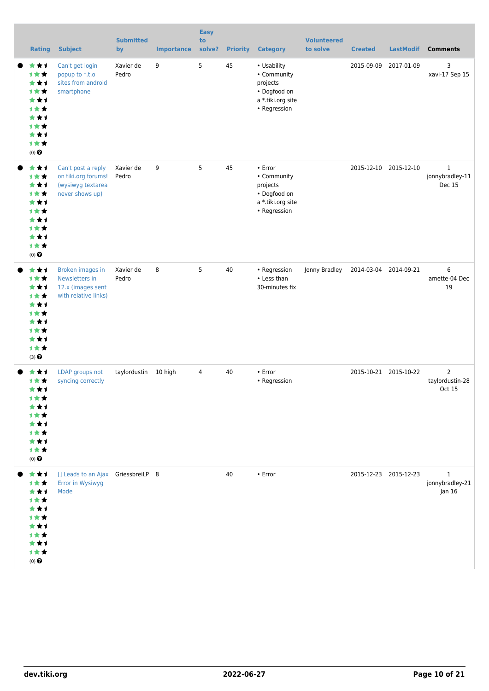| <b>Rating</b>                                                                                            | <b>Subject</b>                                                                         | <b>Submitted</b><br>by | <b>Importance</b> | <b>Easy</b><br>to<br>solve? | <b>Priority</b> | <b>Category</b>                                                                             | <b>Volunteered</b><br>to solve | <b>Created</b>        | <b>LastModif</b>      | <b>Comments</b>                             |
|----------------------------------------------------------------------------------------------------------|----------------------------------------------------------------------------------------|------------------------|-------------------|-----------------------------|-----------------|---------------------------------------------------------------------------------------------|--------------------------------|-----------------------|-----------------------|---------------------------------------------|
| ★★1<br>1★★<br>***<br><b>1**</b><br>***<br><b>1**</b><br>***<br><b>1**</b><br>***<br>计女女<br>$(0)$ $\odot$ | Can't get login<br>popup to *.t.o<br>sites from android<br>smartphone                  | Xavier de<br>Pedro     | 9                 | 5                           | 45              | • Usability<br>• Community<br>projects<br>• Dogfood on<br>a *.tiki.org site<br>• Regression |                                | 2015-09-09            | 2017-01-09            | 3<br>xavi-17 Sep 15                         |
| ***<br>计女女<br>***<br><b>1**</b><br>***<br>1**<br>***<br><b>1**</b><br>***<br>计女女<br>$(0)$ $\odot$        | Can't post a reply<br>on tiki.org forums!<br>(wysiwyg textarea<br>never shows up)      | Xavier de<br>Pedro     | 9                 | 5                           | 45              | • Error<br>• Community<br>projects<br>• Dogfood on<br>a *.tiki.org site<br>• Regression     |                                | 2015-12-10            | 2015-12-10            | $\mathbf{1}$<br>jonnybradley-11<br>Dec 15   |
| ★★1<br>1★★<br>***<br><b>1**</b><br>***<br><b>1**</b><br>***<br><b>1**</b><br>***<br>***<br>(3)           | <b>Broken images in</b><br>Newsletters in<br>12.x (images sent<br>with relative links) | Xavier de<br>Pedro     | 8                 | 5                           | 40              | • Regression<br>• Less than<br>30-minutes fix                                               | Jonny Bradley                  | 2014-03-04 2014-09-21 |                       | 6<br>amette-04 Dec<br>19                    |
| ***<br>1★★<br>***<br>1★★<br>***<br>计女女<br>***<br>计女女<br>***<br>计女女<br>$(0)$ $\odot$                      | LDAP groups not<br>syncing correctly                                                   | taylordustin           | 10 high           | 4                           | 40              | $\cdot$ Error<br>• Regression                                                               |                                |                       | 2015-10-21 2015-10-22 | $\overline{2}$<br>taylordustin-28<br>Oct 15 |
| ***<br>1★★<br>***<br><b>1**</b><br>***<br>计女女<br>***<br><b>1**</b><br>***<br>计女女<br>$(0)$ $\odot$        | [] Leads to an Ajax GriessbreiLP 8<br>Error in Wysiwyg<br>Mode                         |                        |                   |                             | 40              | $\cdot$ Error                                                                               |                                |                       | 2015-12-23 2015-12-23 | $\mathbf{1}$<br>jonnybradley-21<br>Jan 16   |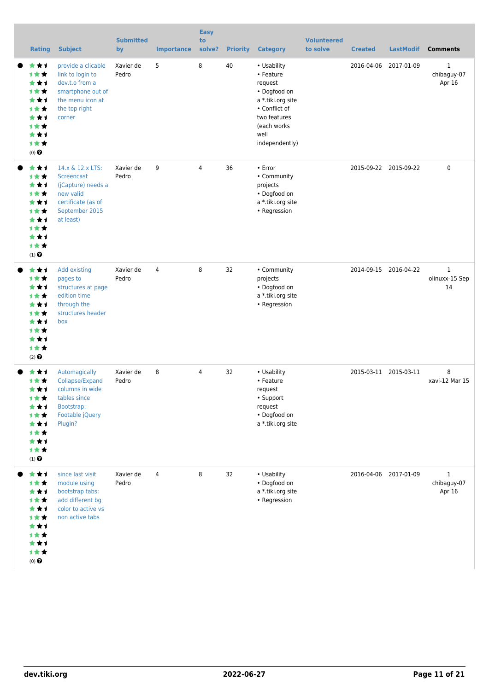| <b>Rating</b>                                                                                                                         | <b>Subject</b>                                                                                                               | <b>Submitted</b><br>by | <b>Importance</b> | <b>Easy</b><br>to<br>solve? | <b>Priority</b> | <b>Category</b>                                                                                                                                     | <b>Volunteered</b><br>to solve | <b>Created</b> | <b>LastModif</b>      | <b>Comments</b>                       |
|---------------------------------------------------------------------------------------------------------------------------------------|------------------------------------------------------------------------------------------------------------------------------|------------------------|-------------------|-----------------------------|-----------------|-----------------------------------------------------------------------------------------------------------------------------------------------------|--------------------------------|----------------|-----------------------|---------------------------------------|
| ***<br><b>1**</b><br>***<br><b>1**</b><br>***<br><b>1**</b><br>***<br><b>1**</b><br>***<br>1★★<br>$(0)$ $\Theta$                      | provide a clicable<br>link to login to<br>dev.t.o from a<br>smartphone out of<br>the menu icon at<br>the top right<br>corner | Xavier de<br>Pedro     | 5                 | 8                           | 40              | • Usability<br>• Feature<br>request<br>• Dogfood on<br>a *.tiki.org site<br>• Conflict of<br>two features<br>(each works)<br>well<br>independently) |                                | 2016-04-06     | 2017-01-09            | 1<br>chibaguy-07<br>Apr 16            |
| ***<br><b>1**</b><br>***<br>***<br>***<br><b>1**</b><br>***<br><b>1**</b><br>***<br>1★★<br>$(1)$ <sup><math>\odot</math></sup>        | 14.x & 12.x LTS:<br>Screencast<br>(jCapture) needs a<br>new valid<br>certificate (as of<br>September 2015<br>at least)       | Xavier de<br>Pedro     | 9                 | $\overline{4}$              | 36              | $\cdot$ Error<br>• Community<br>projects<br>• Dogfood on<br>a *.tiki.org site<br>• Regression                                                       |                                |                | 2015-09-22 2015-09-22 | $\mathbf 0$                           |
| ***<br>计女女<br>***<br><b>1**</b><br>***<br><b>1**</b><br>***<br><b>1**</b><br>***<br><b>1**</b><br>$(2)$ <sup><math>\odot</math></sup> | Add existing<br>pages to<br>structures at page<br>edition time<br>through the<br>structures header<br>box                    | Xavier de<br>Pedro     | $\overline{4}$    | 8                           | 32              | • Community<br>projects<br>• Dogfood on<br>a *.tiki.org site<br>• Regression                                                                        |                                |                | 2014-09-15 2016-04-22 | $\mathbf{1}$<br>olinuxx-15 Sep<br>14  |
| ***<br><b>1**</b><br>***<br>计女女<br>***<br>1★★<br>***<br>1★★<br>***<br>1★★<br>$(1)$ $\odot$                                            | Automagically<br>Collapse/Expand<br>columns in wide<br>tables since<br>Bootstrap:<br>Footable jQuery<br>Plugin?              | Xavier de<br>Pedro     | 8                 | 4                           | 32              | • Usability<br>• Feature<br>request<br>• Support<br>request<br>• Dogfood on<br>a *.tiki.org site                                                    |                                |                | 2015-03-11 2015-03-11 | 8<br>xavi-12 Mar 15                   |
| ***<br>1★★<br>***<br><b>1**</b><br>***<br><b>1**</b><br>***<br>1★★<br>***<br>计女女<br>$(0)$ $\Theta$                                    | since last visit<br>module using<br>bootstrap tabs:<br>add different bg<br>color to active vs<br>non active tabs             | Xavier de<br>Pedro     | 4                 | 8                           | 32              | • Usability<br>• Dogfood on<br>a *.tiki.org site<br>• Regression                                                                                    |                                |                | 2016-04-06 2017-01-09 | $\mathbf{1}$<br>chibaguy-07<br>Apr 16 |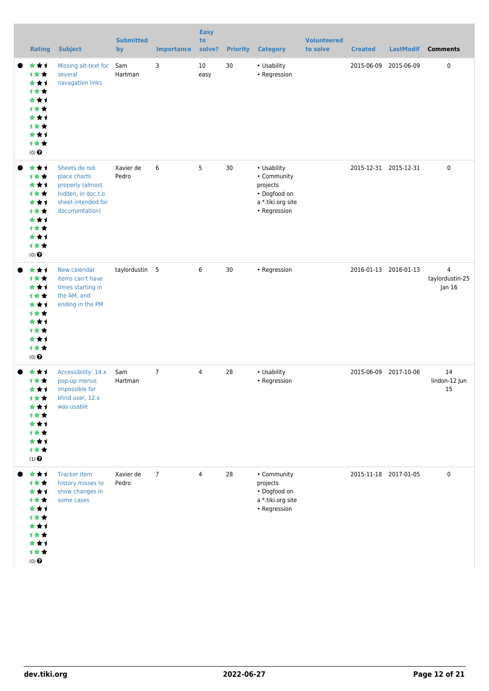| <b>Rating</b>                                                                                                          | <b>Subject</b>                                                                                                  | <b>Submitted</b><br>by | <b>Importance</b> | <b>Easy</b><br>to<br>solve? | <b>Priority</b> | <b>Category</b>                                                                             | <b>Volunteered</b><br>to solve | <b>Created</b> | <b>LastModif</b>      | <b>Comments</b>                             |
|------------------------------------------------------------------------------------------------------------------------|-----------------------------------------------------------------------------------------------------------------|------------------------|-------------------|-----------------------------|-----------------|---------------------------------------------------------------------------------------------|--------------------------------|----------------|-----------------------|---------------------------------------------|
| ★★1<br><b>1**</b><br>***<br><b>1**</b><br>***<br><b>1**</b><br>***<br><b>1**</b><br>***<br><b>1**</b><br>$(0)$ $\odot$ | Missing alt-text for<br>several<br>navagation links                                                             | Sam<br>Hartman         | 3                 | 10<br>easy                  | 30              | • Usability<br>• Regression                                                                 |                                | 2015-06-09     | 2015-06-09            | $\mathbf 0$                                 |
| ***<br>***<br>***<br><b>1**</b><br>***<br><b>1**</b><br>***<br><b>1**</b><br>***<br>计女女<br>$(0)$ $\odot$               | Sheets do not<br>place charts<br>properly (almost<br>hidden, in doc.t.o<br>sheet intended for<br>documentation) | Xavier de<br>Pedro     | 6                 | 5                           | 30              | • Usability<br>• Community<br>projects<br>• Dogfood on<br>a *.tiki.org site<br>• Regression |                                |                | 2015-12-31 2015-12-31 | $\mathbf 0$                                 |
| ***<br>1★★<br>***<br>1★★<br>***<br><b>1**</b><br>***<br><b>1**</b><br>***<br>***<br>$(0)$ $\odot$                      | New calendar<br>items can't have<br>times starting in<br>the AM, and<br>ending in the PM                        | taylordustin 5         |                   | 6                           | 30              | • Regression                                                                                |                                |                | 2016-01-13 2016-01-13 | $\overline{4}$<br>taylordustin-25<br>Jan 16 |
| ★★1<br>计女女<br>***<br>1★★<br>***<br><b>1**</b><br>***<br><b>1**</b><br>***<br>计女女<br>$(1)$ $\odot$                      | Accessibility: 14.x<br>pop-up menus<br>impossible for<br>blind user, 12.x<br>was usable                         | Sam<br>Hartman         | $\overline{7}$    | $\overline{4}$              | 28              | • Usability<br>• Regression                                                                 |                                | 2015-06-09     | 2017-10-06            | 14<br>lindon-12 Jun<br>15                   |
| ***<br>计女女<br>***<br><b>1**</b><br>***<br><b>1**</b><br>***<br><b>1**</b><br>***<br>计女女<br>$(0)$ $\odot$               | <b>Tracker item</b><br>history misses to<br>show changes in<br>some cases                                       | Xavier de<br>Pedro     | $\overline{7}$    | 4                           | 28              | • Community<br>projects<br>• Dogfood on<br>a *.tiki.org site<br>• Regression                |                                |                | 2015-11-18 2017-01-05 | $\mathbf 0$                                 |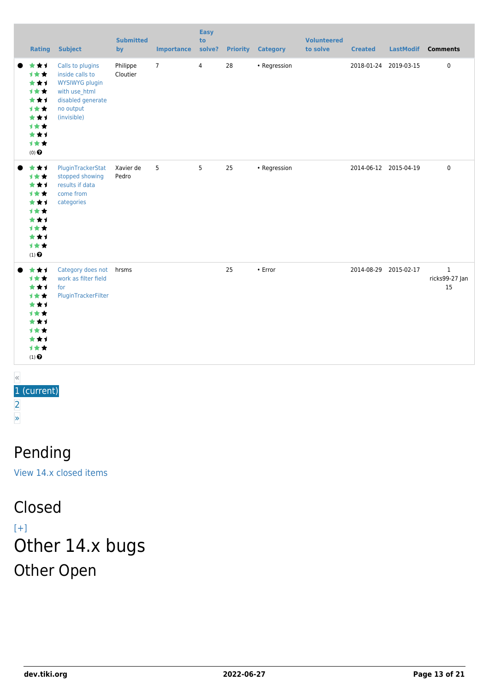| Rating                                                                                               | <b>Subject</b>                                                                                                                 | <b>Submitted</b><br>by | <b>Importance</b> | <b>Easy</b><br>to<br>solve? | <b>Priority</b> | <b>Category</b> | <b>Volunteered</b><br>to solve | <b>Created</b> |                       | LastModif Comments                   |
|------------------------------------------------------------------------------------------------------|--------------------------------------------------------------------------------------------------------------------------------|------------------------|-------------------|-----------------------------|-----------------|-----------------|--------------------------------|----------------|-----------------------|--------------------------------------|
| ***<br>1★★<br>***<br>计女女<br>***<br>1★★<br>***<br>计女女<br>***<br>计女女<br>(0) $\pmb{\Theta}$             | Calls to plugins<br>inside calls to<br><b>WYSIWYG plugin</b><br>with use_html<br>disabled generate<br>no output<br>(invisible) | Philippe<br>Cloutier   | $\overline{7}$    | $\overline{4}$              | 28              | • Regression    |                                |                | 2018-01-24 2019-03-15 | 0                                    |
| ***<br>1★★<br>***<br>1★★<br>***<br>1★★<br>***<br><b>1**</b><br>***<br>计女女<br>$(1)$<br>$\pmb{\Theta}$ | PluginTrackerStat<br>stopped showing<br>results if data<br>come from<br>categories                                             | Xavier de<br>Pedro     | 5                 | 5                           | 25              | • Regression    |                                |                | 2014-06-12 2015-04-19 | $\mathbf 0$                          |
| ***<br>1★★<br>***<br>1★★<br>***<br>1★★<br>***<br>1★★<br>***<br>***<br>$(1)$<br>$\pmb{\Theta}$        | Category does not hrsms<br>work as filter field<br>for<br>PluginTrackerFilter                                                  |                        |                   |                             | 25              | $\cdot$ Error   |                                |                | 2014-08-29 2015-02-17 | $\mathbf{1}$<br>ricks99-27 Jan<br>15 |

#### « 1 (current) [2](https://dev.tiki.org/tiki-print.php?tr_sort_mode3=f_101_asc&page=Tiki14&tr_offset4=20) [»](https://dev.tiki.org/tiki-print.php?tr_sort_mode3=f_101_asc&page=Tiki14&tr_offset4=20)

### Pending

[View 14.x closed items](https://dev.tiki.org/tiki-view_tracker.php?trackerId=5&status=p&sort_mode=created_desc&filterfield=47&filtervalue%5B47%5D%5B%5D=300&filtervalue%5B47%5D%5B%5D=301)

### Closed

 $[+]$ Other 14.x bugs Other Open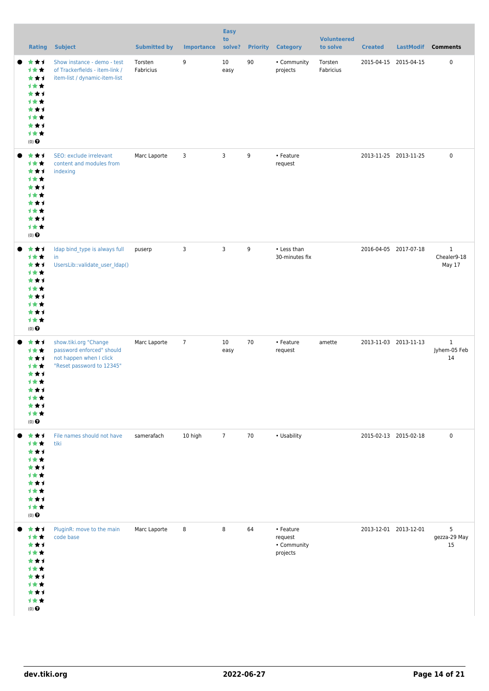| Rating                                                                                               | <b>Subject</b>                                                                                             | <b>Submitted by</b>  | <b>Importance</b> | <b>Easy</b><br>to<br>solve? | <b>Priority</b> | <b>Category</b>                                 | <b>Volunteered</b><br>to solve | <b>Created</b>        | <b>LastModif</b>      | <b>Comments</b>                       |
|------------------------------------------------------------------------------------------------------|------------------------------------------------------------------------------------------------------------|----------------------|-------------------|-----------------------------|-----------------|-------------------------------------------------|--------------------------------|-----------------------|-----------------------|---------------------------------------|
| ***<br>计女女<br>***<br>计女女<br>***<br>计女女<br>***<br><b>1★★</b><br>***<br>计女女<br>$(0)$ $\Theta$          | Show instance - demo - test<br>of Trackerfields - item-link /<br>item-list / dynamic-item-list             | Torsten<br>Fabricius | 9                 | 10<br>easy                  | 90              | • Community<br>projects                         | Torsten<br>Fabricius           |                       | 2015-04-15 2015-04-15 | $\pmb{0}$                             |
| ***<br>计女女<br>***<br>计女女<br>***<br>计女女<br>***<br>计女女<br>***<br>计女女<br>$(0)$ $\Theta$                 | SEO: exclude irrelevant<br>content and modules from<br>indexing                                            | Marc Laporte         | 3                 | 3                           | 9               | • Feature<br>request                            |                                | 2013-11-25 2013-11-25 |                       | $\mathbf 0$                           |
| ***<br>1★★<br>***<br>计女女<br>***<br>计女女<br>***<br>***<br>***<br>计女女<br>(0) $\pmb{\Theta}$             | Idap bind_type is always full<br>in<br>UsersLib::validate_user_ldap()                                      | puserp               | 3                 | 3                           | 9               | • Less than<br>30-minutes fix                   |                                |                       | 2016-04-05 2017-07-18 | $\mathbf{1}$<br>Chealer9-18<br>May 17 |
| ***<br>1★★<br>***<br><b>1★★</b><br>***<br>1★★<br>***<br>计女女<br>***<br>计女女<br>$(0)$<br>$\pmb{\Theta}$ | show.tiki.org "Change<br>password enforced" should<br>not happen when I click<br>"Reset password to 12345" | Marc Laporte         | $\overline{7}$    | 10<br>easy                  | $70\,$          | • Feature<br>request                            | amette                         |                       | 2013-11-03 2013-11-13 | $\mathbf{1}$<br>Jyhem-05 Feb<br>14    |
| ***<br>计女女<br>***<br>计女女<br>***<br>计女女<br>***<br>计女女<br>***<br>计女女<br>(0) $\pmb{\Theta}$             | File names should not have<br>tiki                                                                         | samerafach           | 10 high           | $\overline{7}$              | 70              | • Usability                                     |                                | 2015-02-13 2015-02-18 |                       | $\mathsf 0$                           |
| ***<br>计女女<br>***<br>计女女<br>***<br>计女女<br>***<br>计女女<br>***<br>计女女<br>$(0)$<br>$\pmb{\Theta}$        | PluginR: move to the main<br>code base                                                                     | Marc Laporte         | 8                 | 8                           | 64              | • Feature<br>request<br>• Community<br>projects |                                |                       | 2013-12-01 2013-12-01 | 5<br>gezza-29 May<br>15               |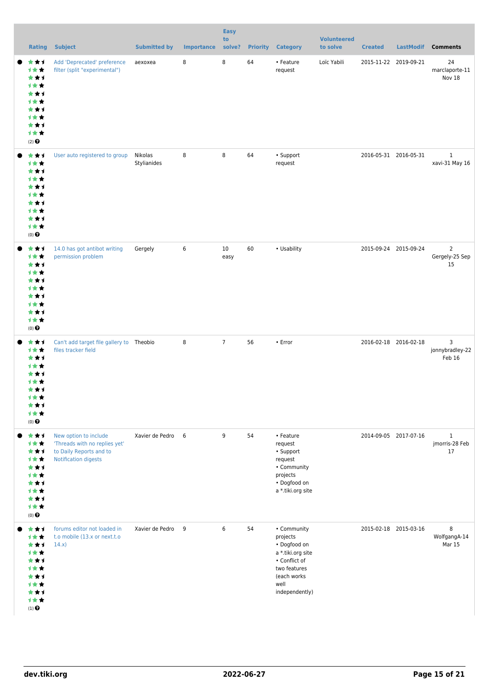| <b>Rating</b>                                                                                 | <b>Subject</b>                                                                                            | <b>Submitted by</b>    | <b>Importance</b> | <b>Easy</b><br>to<br>solve? |    | <b>Priority Category</b>                                                                                                               | <b>Volunteered</b><br>to solve | <b>Created</b> | <b>LastModif</b>      | <b>Comments</b>                        |
|-----------------------------------------------------------------------------------------------|-----------------------------------------------------------------------------------------------------------|------------------------|-------------------|-----------------------------|----|----------------------------------------------------------------------------------------------------------------------------------------|--------------------------------|----------------|-----------------------|----------------------------------------|
| ***<br>计女女<br>***<br>***<br>***<br>1★★<br>***<br>1★★<br>***<br>计女女<br>$(2)$ $\odot$           | Add 'Deprecated' preference<br>filter (split "experimental")                                              | aexoxea                | 8                 | 8                           | 64 | • Feature<br>request                                                                                                                   | Loïc Yabili                    |                | 2015-11-22 2019-09-21 | 24<br>marclaporte-11<br>Nov 18         |
| ***<br>计女女<br>***<br>计女女<br>***<br>计女女<br>***<br>计女女<br>***<br>1★★<br>$(0)$ $\bigodot$        | User auto registered to group                                                                             | Nikolas<br>Stylianides | 8                 | 8                           | 64 | • Support<br>request                                                                                                                   |                                |                | 2016-05-31 2016-05-31 | $\,1$<br>xavi-31 May 16                |
| ***<br>计女女<br>***<br>计女女<br>***<br>计女女<br>***<br>计女女<br>***<br>计女女<br>$(0)$ $\odot$           | 14.0 has got antibot writing<br>permission problem                                                        | Gergely                | 6                 | 10<br>easy                  | 60 | • Usability                                                                                                                            |                                |                | 2015-09-24 2015-09-24 | $\overline{2}$<br>Gergely-25 Sep<br>15 |
| ***<br>1★★<br>***<br>计女女<br>***<br>计女女<br>***<br><b>1★★</b><br>计女女<br>$(0)$ $\odot$           | Can't add target file gallery to Theobio<br>files tracker field                                           |                        | 8                 | $\overline{7}$              | 56 | • Error                                                                                                                                |                                |                | 2016-02-18 2016-02-18 | 3<br>jonnybradley-22<br>Feb 16         |
| ***<br>1★★<br>***<br>计女女<br>***<br>1**<br>***<br>计女女<br>***<br>计女女<br>$(0)$ $\odot$           | New option to include<br>'Threads with no replies yet'<br>to Daily Reports and to<br>Notification digests | Xavier de Pedro        | 6                 | 9                           | 54 | • Feature<br>request<br>• Support<br>request<br>• Community<br>projects<br>• Dogfood on<br>a *.tiki.org site                           |                                |                | 2014-09-05 2017-07-16 | $\,1$<br>jmorris-28 Feb<br>17          |
| ***<br>计女女<br>***<br>计女女<br>***<br>计女女<br>***<br>计女女<br>***<br>计女女<br>$(1)$<br>$\pmb{\Theta}$ | forums editor not loaded in<br>t.o mobile (13.x or next.t.o<br>14.x)                                      | Xavier de Pedro        | 9                 | 6                           | 54 | • Community<br>projects<br>• Dogfood on<br>a *.tiki.org site<br>• Conflict of<br>two features<br>(each works<br>well<br>independently) |                                |                | 2015-02-18 2015-03-16 | 8<br>WolfgangA-14<br>Mar 15            |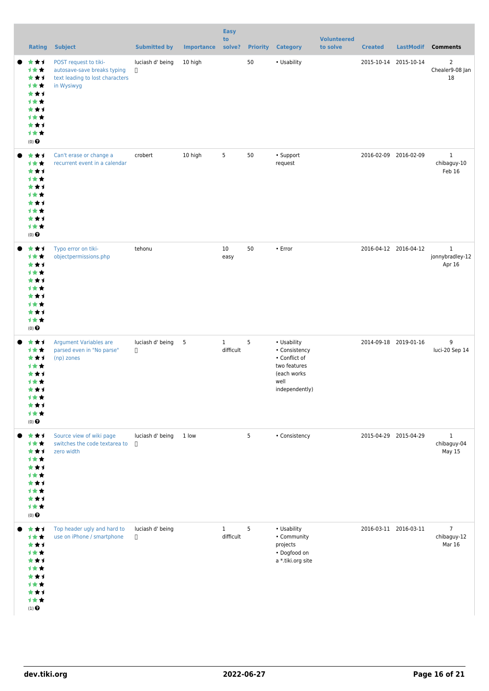|                                                                                                           | <b>Rating</b> | <b>Subject</b>                                                                                        | <b>Submitted by</b>        | <b>Importance</b> | <b>Easy</b><br>to<br>solve? |    | <b>Priority Category</b>                                                                               | <b>Volunteered</b><br>to solve | <b>Created</b>        | <b>LastModif</b> | <b>Comments</b>                           |
|-----------------------------------------------------------------------------------------------------------|---------------|-------------------------------------------------------------------------------------------------------|----------------------------|-------------------|-----------------------------|----|--------------------------------------------------------------------------------------------------------|--------------------------------|-----------------------|------------------|-------------------------------------------|
| ***<br>计女女<br>***<br>1★★<br>***<br>1★★<br>***<br>1★★<br>***<br>1★★<br>$(0)$ $\odot$                       |               | POST request to tiki-<br>autosave-save breaks typing<br>text leading to lost characters<br>in Wysiwyg | luciash d' being<br>$\Box$ | 10 high           |                             | 50 | • Usability                                                                                            |                                | 2015-10-14            | 2015-10-14       | $\overline{2}$<br>Chealer9-08 Jan<br>18   |
| ***<br>1★★<br>***<br>计女女<br>***<br>计女女<br>***<br>1★★<br>***<br>计女女<br>$(0)$ $\Theta$                      |               | Can't erase or change a<br>recurrent event in a calendar                                              | crobert                    | 10 high           | 5                           | 50 | • Support<br>request                                                                                   |                                | 2016-02-09 2016-02-09 |                  | $\mathbf{1}$<br>chibaguy-10<br>Feb 16     |
| ***<br>计女女<br>***<br>1★★<br>***<br>计女女<br>***<br>1★★<br>***<br>计女女<br>$(0)$ $\Theta$                      |               | Typo error on tiki-<br>objectpermissions.php                                                          | tehonu                     |                   | 10<br>easy                  | 50 | • Error                                                                                                |                                | 2016-04-12 2016-04-12 |                  | $\mathbf{1}$<br>jonnybradley-12<br>Apr 16 |
| ***<br>1★★<br>***<br>计女女<br>***<br>计女女<br>***<br>计女女<br>***<br>计女女<br>$(0)$ $\Theta$                      |               | <b>Argument Variables are</b><br>parsed even in "No parse"<br>(np) zones                              | luciash d' being<br>$\Box$ | $5\phantom{.0}$   | $\mathbf{1}$<br>difficult   | 5  | • Usability<br>• Consistency<br>• Conflict of<br>two features<br>(each works<br>well<br>independently) |                                | 2014-09-18 2019-01-16 |                  | 9<br>luci-20 Sep 14                       |
| ***<br>1★★<br>***<br>1★★<br>***<br>计女女<br>***<br>计女女<br>***<br>计女女<br>$(0)$ $\Theta$                      |               | Source view of wiki page<br>switches the code textarea to<br>zero width                               | luciash d' being<br>$\Box$ | 1 low             |                             | 5  | • Consistency                                                                                          |                                | 2015-04-29 2015-04-29 |                  | $\mathbf{1}$<br>chibaguy-04<br>May 15     |
| ***<br>计女女<br>***<br>1★★<br>***<br>计女女<br>***<br>1★★<br>***<br>计女女<br>$(1)$ <sup><math>\odot</math></sup> |               | Top header ugly and hard to<br>use on iPhone / smartphone                                             | luciash d' being<br>$\Box$ |                   | $\mathbf{1}$<br>difficult   | 5  | • Usability<br>• Community<br>projects<br>• Dogfood on<br>a *.tiki.org site                            |                                | 2016-03-11 2016-03-11 |                  | $\overline{7}$<br>chibaguy-12<br>Mar 16   |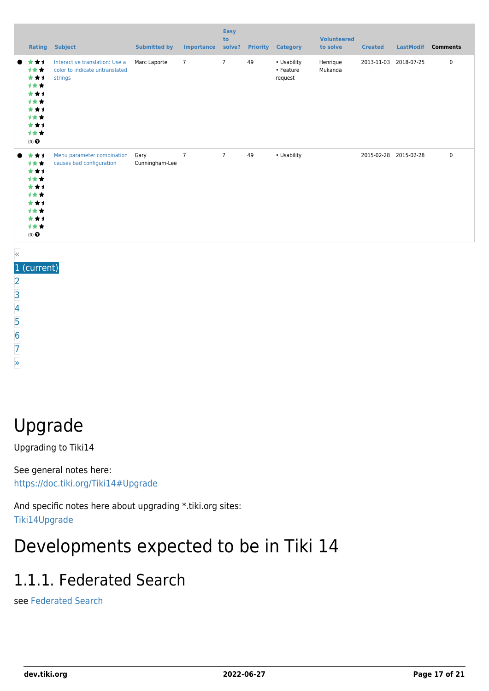| Rating                                                                                     | <b>Subject</b>                                                              | <b>Submitted by</b>    | <b>Importance</b> | <b>Easy</b><br>to<br>solve? | <b>Priority</b> | <b>Category</b>                     | <b>Volunteered</b><br>to solve | <b>Created</b> | <b>LastModif</b>      | <b>Comments</b> |
|--------------------------------------------------------------------------------------------|-----------------------------------------------------------------------------|------------------------|-------------------|-----------------------------|-----------------|-------------------------------------|--------------------------------|----------------|-----------------------|-----------------|
| ***<br>1★★<br>***<br>1★★<br>***<br>计女女<br>***<br>1★★<br>***<br>计女女<br>$(0)$ $\odot$        | Interactive translation: Use a<br>color to indicate untranslated<br>strings | Marc Laporte           | $\overline{7}$    | $\overline{7}$              | 49              | • Usability<br>• Feature<br>request | Henrique<br>Mukanda            | 2013-11-03     | 2018-07-25            | 0               |
| ***<br><b>1**</b><br>***<br>计女女<br>***<br>1★★<br>***<br>计女女<br>***<br>1★★<br>$(0)$ $\odot$ | Menu parameter combination<br>causes bad configuration                      | Gary<br>Cunningham-Lee | $\overline{7}$    | $\overline{7}$              | 49              | • Usability                         |                                |                | 2015-02-28 2015-02-28 | 0               |

#### «

- [5](https://dev.tiki.org/tiki-print.php?tr_sort_mode3=f_101_asc&page=Tiki14&tr_offset5=80)
- [6](https://dev.tiki.org/tiki-print.php?tr_sort_mode3=f_101_asc&page=Tiki14&tr_offset5=100)
- [7](https://dev.tiki.org/tiki-print.php?tr_sort_mode3=f_101_asc&page=Tiki14&tr_offset5=120) [»](https://dev.tiki.org/tiki-print.php?tr_sort_mode3=f_101_asc&page=Tiki14&tr_offset5=20)
- 

Upgrade

Upgrading to Tiki14

See general notes here: <https://doc.tiki.org/Tiki14#Upgrade>

And specific notes here about upgrading \*.tiki.org sites: [Tiki14Upgrade](https://dev.tiki.org/Tiki14Upgrade)

## Developments expected to be in Tiki 14

## 1.1.1. Federated Search

see [Federated Search](http://doc.tiki.org/Federated%20Search)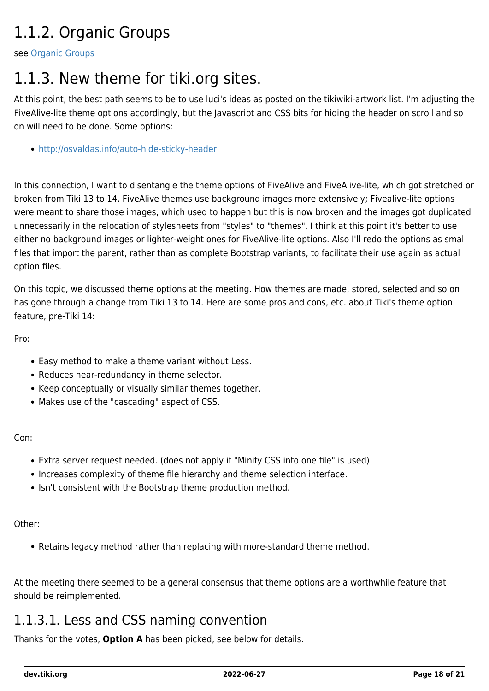## 1.1.2. Organic Groups

see [Organic Groups](http://doc.tiki.org/Organic%20Groups)

### 1.1.3. New theme for tiki.org sites.

At this point, the best path seems to be to use luci's ideas as posted on the tikiwiki-artwork list. I'm adjusting the FiveAlive-lite theme options accordingly, but the Javascript and CSS bits for hiding the header on scroll and so on will need to be done. Some options:

<http://osvaldas.info/auto-hide-sticky-header>

In this connection, I want to disentangle the theme options of FiveAlive and FiveAlive-lite, which got stretched or broken from Tiki 13 to 14. FiveAlive themes use background images more extensively; Fivealive-lite options were meant to share those images, which used to happen but this is now broken and the images got duplicated unnecessarily in the relocation of stylesheets from "styles" to "themes". I think at this point it's better to use either no background images or lighter-weight ones for FiveAlive-lite options. Also I'll redo the options as small files that import the parent, rather than as complete Bootstrap variants, to facilitate their use again as actual option files.

On this topic, we discussed theme options at the meeting. How themes are made, stored, selected and so on has gone through a change from Tiki 13 to 14. Here are some pros and cons, etc. about Tiki's theme option feature, pre-Tiki 14:

Pro:

- Easy method to make a theme variant without Less.
- Reduces near-redundancy in theme selector.
- Keep conceptually or visually similar themes together.
- Makes use of the "cascading" aspect of CSS.

Con:

- Extra server request needed. (does not apply if "Minify CSS into one file" is used)
- Increases complexity of theme file hierarchy and theme selection interface.
- Isn't consistent with the Bootstrap theme production method.

Other:

Retains legacy method rather than replacing with more-standard theme method.

At the meeting there seemed to be a general consensus that theme options are a worthwhile feature that should be reimplemented.

#### 1.1.3.1. Less and CSS naming convention

Thanks for the votes, **Option A** has been picked, see below for details.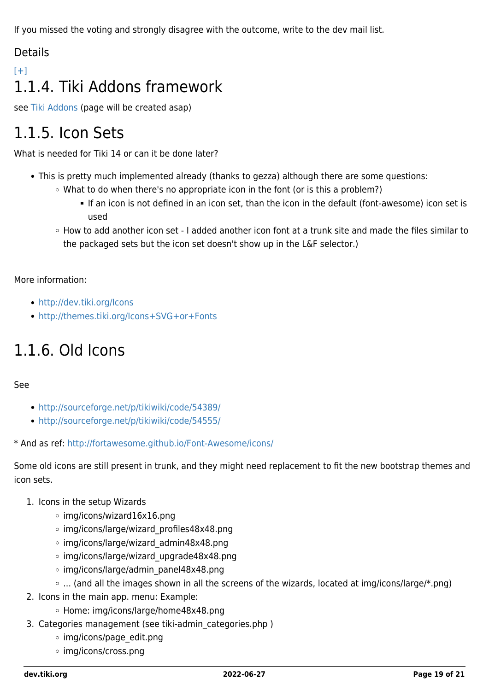If you missed the voting and strongly disagree with the outcome, write to the dev mail list.

#### Details

### $[+]$ 1.1.4. Tiki Addons framework

see [Tiki Addons](http://doc.tiki.org/Tiki%20Addons) (page will be created asap)

## 1.1.5. Icon Sets

What is needed for Tiki 14 or can it be done later?

- This is pretty much implemented already (thanks to gezza) although there are some questions:
	- What to do when there's no appropriate icon in the font (or is this a problem?)
		- If an icon is not defined in an icon set, than the icon in the default (font-awesome) icon set is used
	- How to add another icon set I added another icon font at a trunk site and made the files similar to the packaged sets but the icon set doesn't show up in the L&F selector.)

More information:

- <http://dev.tiki.org/Icons>
- <http://themes.tiki.org/Icons+SVG+or+Fonts>

## 1.1.6. Old Icons

#### See

- <http://sourceforge.net/p/tikiwiki/code/54389/>
- <http://sourceforge.net/p/tikiwiki/code/54555/>

\* And as ref:<http://fortawesome.github.io/Font-Awesome/icons/>

Some old icons are still present in trunk, and they might need replacement to fit the new bootstrap themes and icon sets.

#### 1. Icons in the setup Wizards

- img/icons/wizard16x16.png
- img/icons/large/wizard\_profiles48x48.png
- img/icons/large/wizard\_admin48x48.png
- img/icons/large/wizard\_upgrade48x48.png
- img/icons/large/admin\_panel48x48.png
- ... (and all the images shown in all the screens of the wizards, located at img/icons/large/\*.png)
- 2. Icons in the main app. menu: Example:
	- Home: img/icons/large/home48x48.png
- 3. Categories management (see tiki-admin categories.php)
	- img/icons/page\_edit.png
	- img/icons/cross.png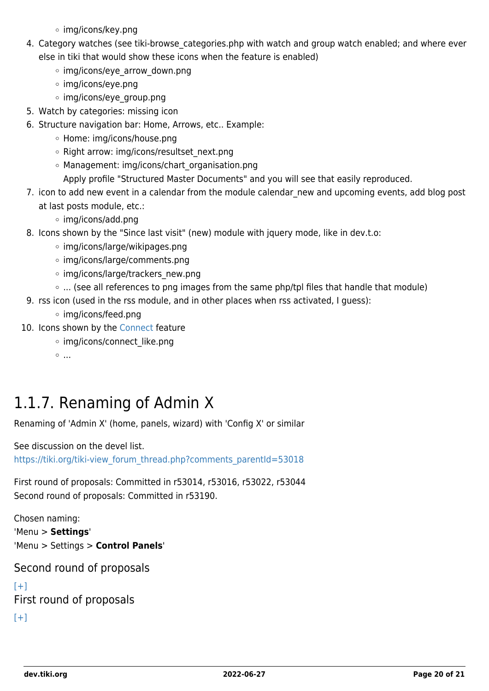- img/icons/key.png
- 4. Category watches (see tiki-browse categories.php with watch and group watch enabled; and where ever else in tiki that would show these icons when the feature is enabled)
	- img/icons/eye\_arrow\_down.png
	- img/icons/eye.png
	- img/icons/eye\_group.png
- 5. Watch by categories: missing icon
- 6. Structure navigation bar: Home, Arrows, etc.. Example:
	- Home: img/icons/house.png
	- o Right arrow: img/icons/resultset\_next.png
	- Management: img/icons/chart\_organisation.png
		- Apply profile "Structured Master Documents" and you will see that easily reproduced.
- 7. icon to add new event in a calendar from the module calendar new and upcoming events, add blog post at last posts module, etc.:
	- img/icons/add.png
- 8. Icons shown by the "Since last visit" (new) module with jquery mode, like in dev.t.o:
	- img/icons/large/wikipages.png
	- img/icons/large/comments.png
	- o img/icons/large/trackers new.png
	- ... (see all references to png images from the same php/tpl files that handle that module)
- 9. rss icon (used in the rss module, and in other places when rss activated, I guess):
	- img/icons/feed.png
- 10. Icons shown by the [Connect](http://doc.tiki.org/Connect) feature
	- o img/icons/connect like.png
	- $\circ$  ...

### 1.1.7. Renaming of Admin X

Renaming of 'Admin X' (home, panels, wizard) with 'Config X' or similar

See discussion on the devel list.

[https://tiki.org/tiki-view\\_forum\\_thread.php?comments\\_parentId=53018](https://tiki.org/tiki-view_forum_thread.php?comments_parentId=53018)

First round of proposals: Committed in r53014, r53016, r53022, r53044 Second round of proposals: Committed in r53190.

Chosen naming: 'Menu > **Settings**' 'Menu > Settings > **Control Panels**'

Second round of proposals

```
[+]First round of proposals
[+]
```